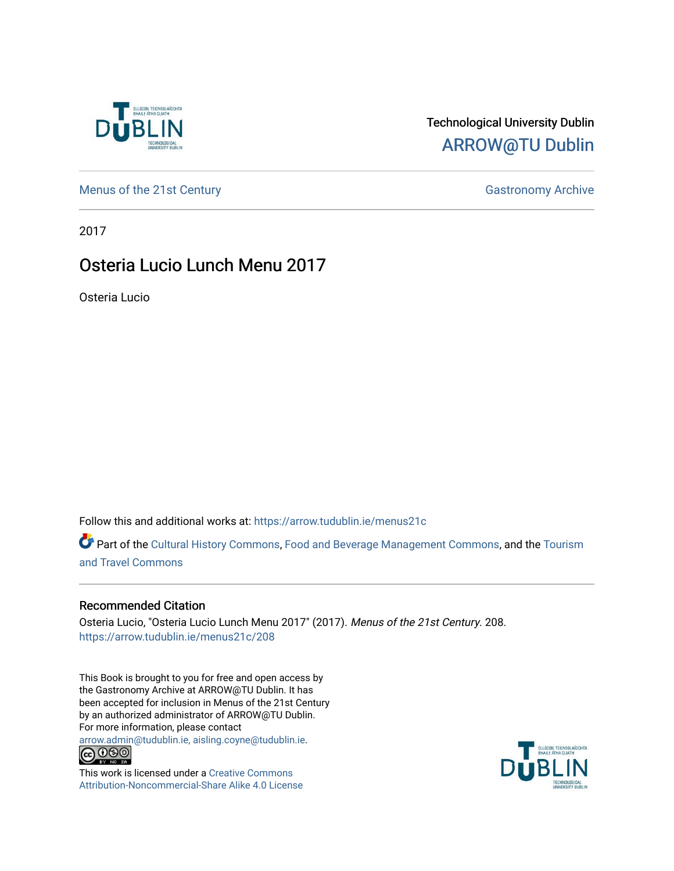

#### Technological University Dublin [ARROW@TU Dublin](https://arrow.tudublin.ie/)

[Menus of the 21st Century](https://arrow.tudublin.ie/menus21c) Gastronomy Archive

2017

#### Osteria Lucio Lunch Menu 2017

Osteria Lucio

Follow this and additional works at: [https://arrow.tudublin.ie/menus21c](https://arrow.tudublin.ie/menus21c?utm_source=arrow.tudublin.ie%2Fmenus21c%2F208&utm_medium=PDF&utm_campaign=PDFCoverPages) 

Part of the [Cultural History Commons](http://network.bepress.com/hgg/discipline/496?utm_source=arrow.tudublin.ie%2Fmenus21c%2F208&utm_medium=PDF&utm_campaign=PDFCoverPages), [Food and Beverage Management Commons,](http://network.bepress.com/hgg/discipline/1089?utm_source=arrow.tudublin.ie%2Fmenus21c%2F208&utm_medium=PDF&utm_campaign=PDFCoverPages) and the [Tourism](http://network.bepress.com/hgg/discipline/1082?utm_source=arrow.tudublin.ie%2Fmenus21c%2F208&utm_medium=PDF&utm_campaign=PDFCoverPages) [and Travel Commons](http://network.bepress.com/hgg/discipline/1082?utm_source=arrow.tudublin.ie%2Fmenus21c%2F208&utm_medium=PDF&utm_campaign=PDFCoverPages)

#### Recommended Citation

Osteria Lucio, "Osteria Lucio Lunch Menu 2017" (2017). Menus of the 21st Century. 208. [https://arrow.tudublin.ie/menus21c/208](https://arrow.tudublin.ie/menus21c/208?utm_source=arrow.tudublin.ie%2Fmenus21c%2F208&utm_medium=PDF&utm_campaign=PDFCoverPages) 

This Book is brought to you for free and open access by the Gastronomy Archive at ARROW@TU Dublin. It has been accepted for inclusion in Menus of the 21st Century by an authorized administrator of ARROW@TU Dublin. For more information, please contact

[arrow.admin@tudublin.ie, aisling.coyne@tudublin.ie](mailto:arrow.admin@tudublin.ie,%20aisling.coyne@tudublin.ie).<br>
co 060



This work is licensed under a [Creative Commons](http://creativecommons.org/licenses/by-nc-sa/4.0/) [Attribution-Noncommercial-Share Alike 4.0 License](http://creativecommons.org/licenses/by-nc-sa/4.0/)

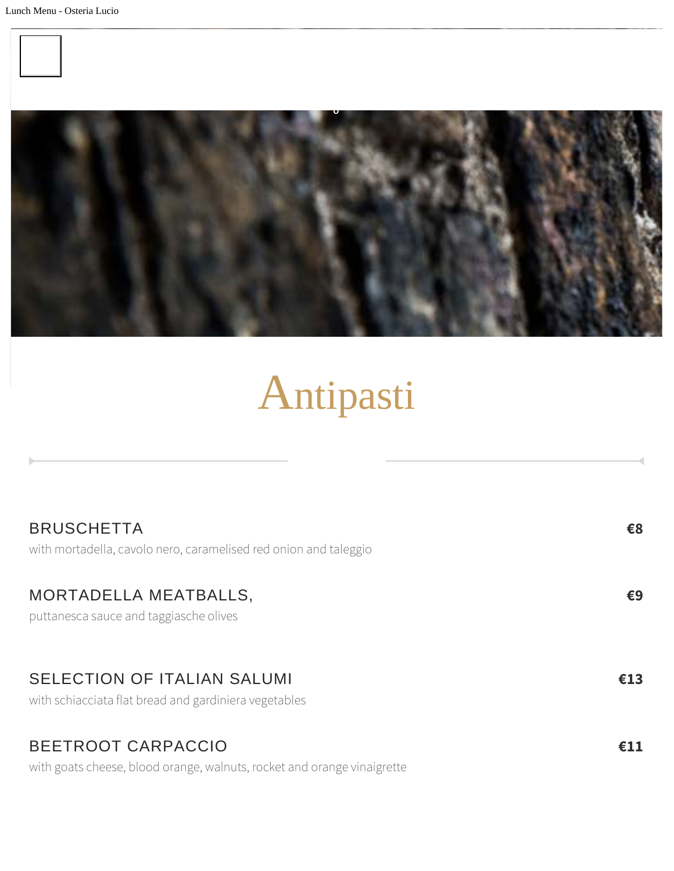



# Antipasti

| <b>BRUSCHETTA</b>                                                                                                                                                                                                                                        | €8  |
|----------------------------------------------------------------------------------------------------------------------------------------------------------------------------------------------------------------------------------------------------------|-----|
|                                                                                                                                                                                                                                                          |     |
| MORTADELLA MEATBALLS,                                                                                                                                                                                                                                    | €9  |
|                                                                                                                                                                                                                                                          |     |
|                                                                                                                                                                                                                                                          |     |
| with schiacciata flat bread and gardiniera vegetables                                                                                                                                                                                                    |     |
|                                                                                                                                                                                                                                                          |     |
|                                                                                                                                                                                                                                                          | €11 |
| with mortadella, cavolo nero, caramelised red onion and taleggio<br>puttanesca sauce and taggiasche olives<br><b>SELECTION OF ITALIAN SALUMI</b><br><b>BEETROOT CARPACCIO</b><br>with goats cheese, blood orange, walnuts, rocket and orange vinaigrette | €13 |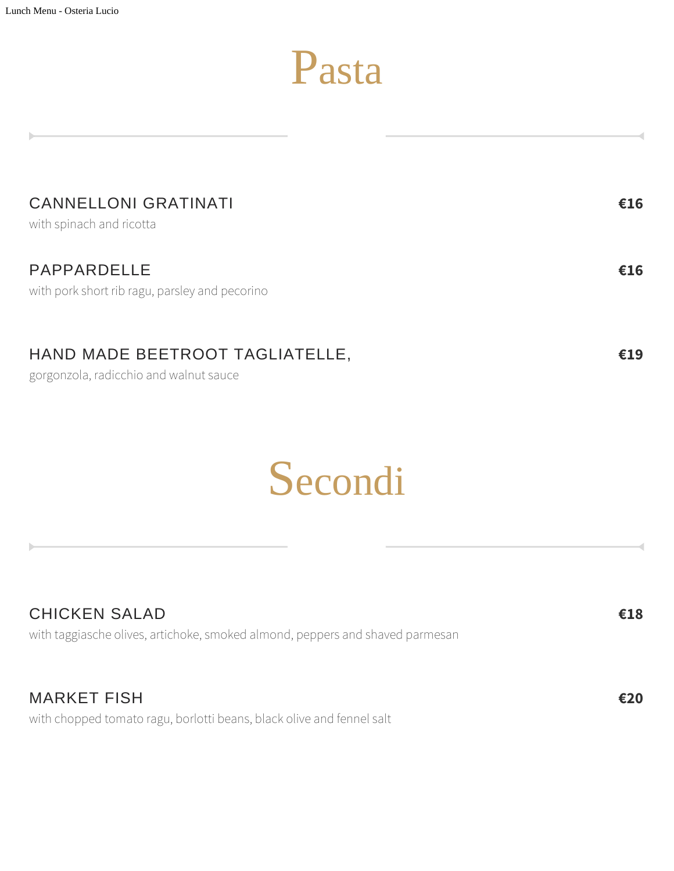### Pasta

| <b>CANNELLONI GRATINATI</b><br>with spinach and ricotta       | €16 |
|---------------------------------------------------------------|-----|
| PAPPARDELLE<br>with pork short rib ragu, parsley and pecorino | €16 |
| HAND MADE BEETROOT TAGLIATELLE,                               | €19 |

gorgonzola, radicchio and walnut sauce

### Secondi

| <b>CHICKEN SALAD</b>                                                          | €18 |
|-------------------------------------------------------------------------------|-----|
| with taggiasche olives, artichoke, smoked almond, peppers and shaved parmesan |     |
|                                                                               |     |
|                                                                               |     |

MARKET FISH with chopped tomato ragu, borlotti beans, black olive and fennel salt **€20**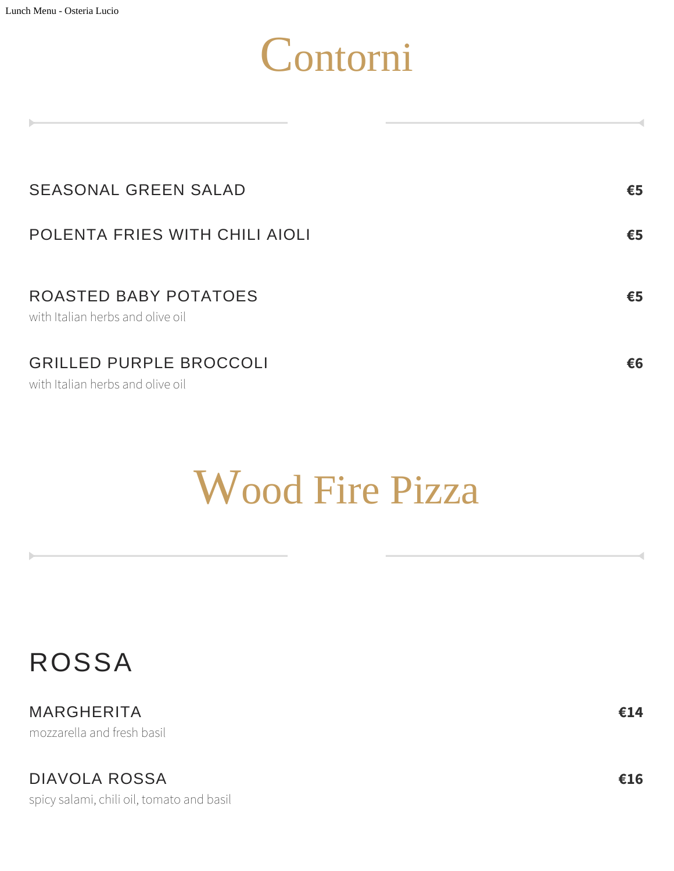## Contorni

| <b>SEASONAL GREEN SALAD</b>                                        | €5 |
|--------------------------------------------------------------------|----|
| POLENTA FRIES WITH CHILI AIOLI                                     | €5 |
| ROASTED BABY POTATOES<br>with Italian herbs and olive oil          | €5 |
| <b>GRILLED PURPLE BROCCOLI</b><br>with Italian herbs and olive oil | €6 |

### Wood Fire Pizza

MARGHERITA mozzarella and fresh basil

DIAVOLA ROSSA

spicy salami, chili oil, tomato and basil

**€14**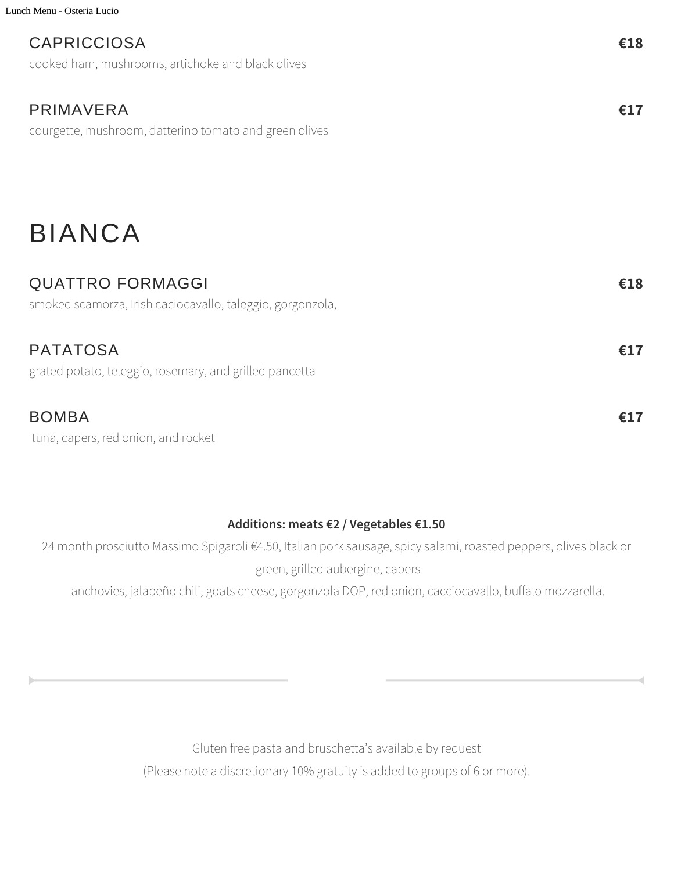Lunch Menu - Osteria Lucio

#### CAPRICCIOSA

cooked ham, mushrooms, artichoke and black olives

#### PRIMAVERA

courgette, mushroom, datterino tomato and green olives

### BIANCA

#### QUATTRO FORMAGGI

smoked scamorza, Irish caciocavallo, taleggio, gorgonzola,

#### PATATOSA

grated potato, teleggio, rosemary, and grilled pancetta

#### BOMBA

tuna, capers, red onion, and rocket

#### **Additions: meats €2 / Vegetables €1.50**

24 month prosciutto Massimo Spigaroli €4.50, Italian pork sausage, spicy salami, roasted peppers, olives black or green, grilled aubergine, capers

anchovies, jalapeño chili, goats cheese, gorgonzola DOP, red onion, cacciocavallo, buffalo mozzarella.

Gluten free pasta and bruschetta's available by request (Please note a discretionary 10% gratuity is added to groups of 6 or more). **€17**

**€18**

**€17**

**€17**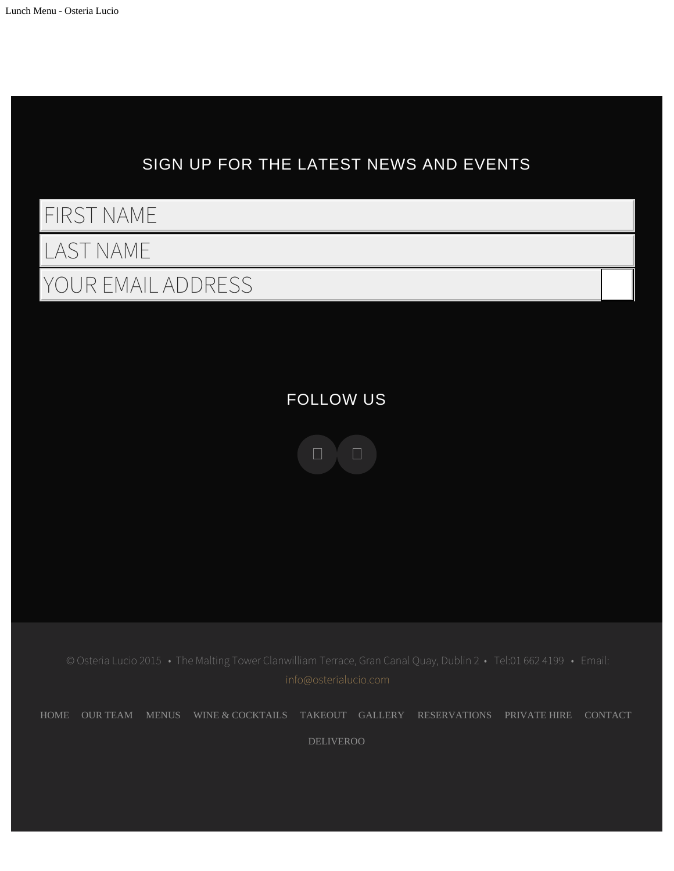

[HOME](http://osterialucio.com/) [OUR TEAM](http://osterialucio.com/ross-lewis/) MENUS [WINE & COCKTAILS](http://osterialucio.com/wine/) [TAKEOUT](http://osterialucio.com/takeout-menu/) [GALLERY](http://osterialucio.com/gallery/) [RESERVATIONS](http://osterialucio.com/reservations/) [PRIVATE HIRE](http://osterialucio.com/private-hire-networking-event-corporate-event-private-reception/) [CONTACT](http://osterialucio.com/contact/)

[DELIVEROO](https://deliveroo.ie/backlinks/2695)